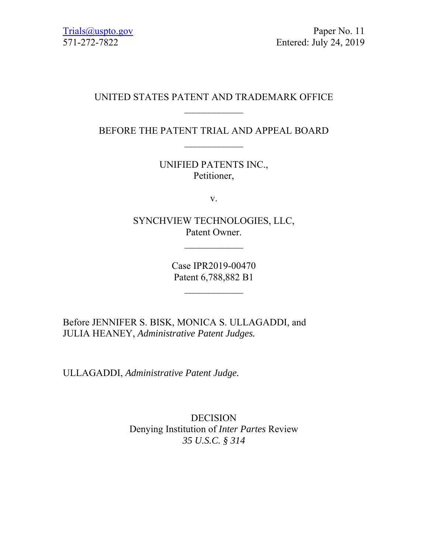## UNITED STATES PATENT AND TRADEMARK OFFICE  $\frac{1}{2}$

# BEFORE THE PATENT TRIAL AND APPEAL BOARD

UNIFIED PATENTS INC., Petitioner,

v.

SYNCHVIEW TECHNOLOGIES, LLC, Patent Owner.

 $\frac{1}{2}$ 

Case IPR2019-00470 Patent 6,788,882 B1

Before JENNIFER S. BISK, MONICA S. ULLAGADDI, and JULIA HEANEY, *Administrative Patent Judges.*

ULLAGADDI, *Administrative Patent Judge.* 

DECISION Denying Institution of *Inter Partes* Review *35 U.S.C. § 314*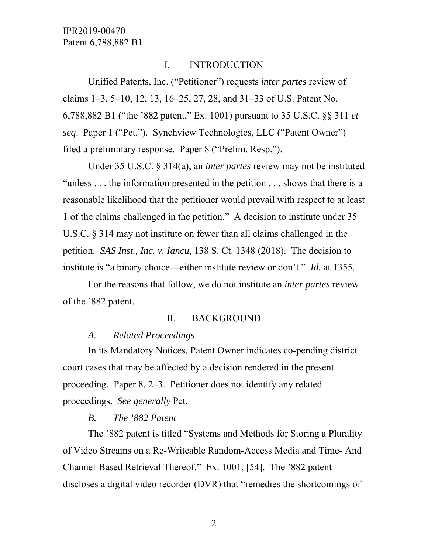### I. INTRODUCTION

Unified Patents, Inc. ("Petitioner") requests *inter partes* review of claims 1–3, 5–10, 12, 13, 16–25, 27, 28, and 31–33 of U.S. Patent No. 6,788,882 B1 ("the '882 patent," Ex. 1001) pursuant to 35 U.S.C. §§ 311 *et seq*. Paper 1 ("Pet."). Synchview Technologies, LLC ("Patent Owner") filed a preliminary response. Paper 8 ("Prelim. Resp.").

Under 35 U.S.C. § 314(a), an *inter partes* review may not be instituted "unless . . . the information presented in the petition . . . shows that there is a reasonable likelihood that the petitioner would prevail with respect to at least 1 of the claims challenged in the petition." A decision to institute under 35 U.S.C. § 314 may not institute on fewer than all claims challenged in the petition. *SAS Inst., Inc. v. Iancu*, 138 S. Ct. 1348 (2018). The decision to institute is "a binary choice—either institute review or don't." *Id.* at 1355.

For the reasons that follow, we do not institute an *inter partes* review of the '882 patent.

#### II. BACKGROUND

#### *A. Related Proceedings*

In its Mandatory Notices, Patent Owner indicates co-pending district court cases that may be affected by a decision rendered in the present proceeding. Paper 8, 2–3. Petitioner does not identify any related proceedings. *See generally* Pet.

#### *B. The '882 Patent*

The '882 patent is titled "Systems and Methods for Storing a Plurality of Video Streams on a Re-Writeable Random-Access Media and Time- And Channel-Based Retrieval Thereof." Ex. 1001, [54]. The '882 patent discloses a digital video recorder (DVR) that "remedies the shortcomings of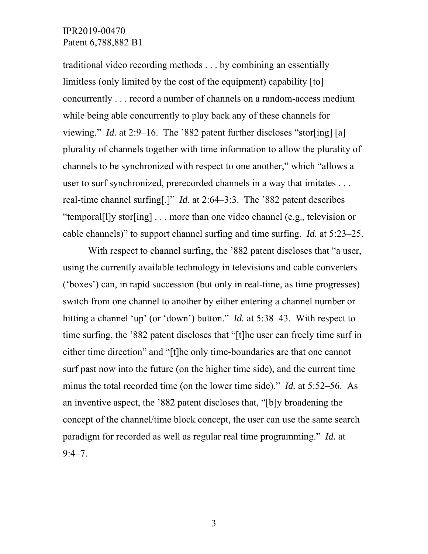traditional video recording methods . . . by combining an essentially limitless (only limited by the cost of the equipment) capability [to] concurrently . . . record a number of channels on a random-access medium while being able concurrently to play back any of these channels for viewing." *Id.* at 2:9–16. The '882 patent further discloses "stor[ing] [a] plurality of channels together with time information to allow the plurality of channels to be synchronized with respect to one another," which "allows a user to surf synchronized, prerecorded channels in a way that imitates . . . real-time channel surfing[.]" *Id.* at 2:64–3:3. The '882 patent describes "temporal[l]y stor[ing] . . . more than one video channel (e.g., television or cable channels)" to support channel surfing and time surfing. *Id.* at 5:23–25.

With respect to channel surfing, the '882 patent discloses that "a user, using the currently available technology in televisions and cable converters ('boxes') can, in rapid succession (but only in real-time, as time progresses) switch from one channel to another by either entering a channel number or hitting a channel 'up' (or 'down') button." *Id.* at 5:38–43. With respect to time surfing, the '882 patent discloses that "[t]he user can freely time surf in either time direction" and "[t]he only time-boundaries are that one cannot surf past now into the future (on the higher time side), and the current time minus the total recorded time (on the lower time side)." *Id.* at 5:52–56. As an inventive aspect, the '882 patent discloses that, "[b]y broadening the concept of the channel/time block concept, the user can use the same search paradigm for recorded as well as regular real time programming." *Id.* at  $9:4 - 7.$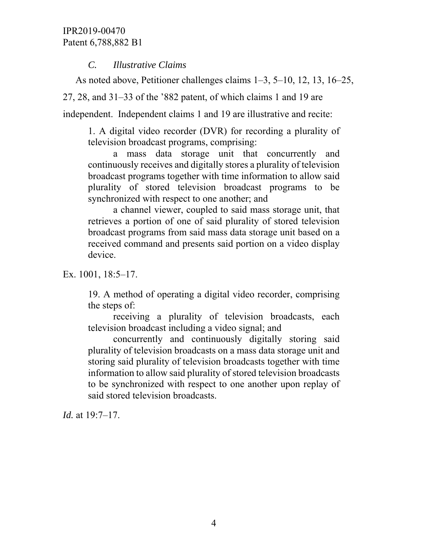### *C. Illustrative Claims*

As noted above, Petitioner challenges claims 1–3, 5–10, 12, 13, 16–25,

27, 28, and 31–33 of the '882 patent, of which claims 1 and 19 are

independent. Independent claims 1 and 19 are illustrative and recite:

1. A digital video recorder (DVR) for recording a plurality of television broadcast programs, comprising:

a mass data storage unit that concurrently and continuously receives and digitally stores a plurality of television broadcast programs together with time information to allow said plurality of stored television broadcast programs to be synchronized with respect to one another; and

a channel viewer, coupled to said mass storage unit, that retrieves a portion of one of said plurality of stored television broadcast programs from said mass data storage unit based on a received command and presents said portion on a video display device.

Ex. 1001, 18:5–17.

19. A method of operating a digital video recorder, comprising the steps of:

receiving a plurality of television broadcasts, each television broadcast including a video signal; and

concurrently and continuously digitally storing said plurality of television broadcasts on a mass data storage unit and storing said plurality of television broadcasts together with time information to allow said plurality of stored television broadcasts to be synchronized with respect to one another upon replay of said stored television broadcasts.

*Id.* at 19:7–17.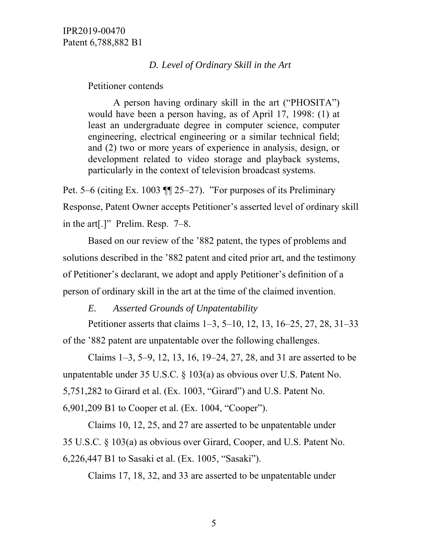### *D. Level of Ordinary Skill in the Art*

Petitioner contends

A person having ordinary skill in the art ("PHOSITA") would have been a person having, as of April 17, 1998: (1) at least an undergraduate degree in computer science, computer engineering, electrical engineering or a similar technical field; and (2) two or more years of experience in analysis, design, or development related to video storage and playback systems, particularly in the context of television broadcast systems.

Pet. 5–6 (citing Ex. 1003 ¶¶ 25–27). "For purposes of its Preliminary Response, Patent Owner accepts Petitioner's asserted level of ordinary skill in the art[.]" Prelim. Resp. 7–8.

Based on our review of the '882 patent, the types of problems and solutions described in the '882 patent and cited prior art, and the testimony of Petitioner's declarant, we adopt and apply Petitioner's definition of a person of ordinary skill in the art at the time of the claimed invention.

*E. Asserted Grounds of Unpatentability* 

Petitioner asserts that claims 1–3, 5–10, 12, 13, 16–25, 27, 28, 31–33 of the '882 patent are unpatentable over the following challenges.

Claims 1–3, 5–9, 12, 13, 16, 19–24, 27, 28, and 31 are asserted to be unpatentable under 35 U.S.C. § 103(a) as obvious over U.S. Patent No. 5,751,282 to Girard et al. (Ex. 1003, "Girard") and U.S. Patent No. 6,901,209 B1 to Cooper et al. (Ex. 1004, "Cooper").

Claims 10, 12, 25, and 27 are asserted to be unpatentable under 35 U.S.C. § 103(a) as obvious over Girard, Cooper, and U.S. Patent No. 6,226,447 B1 to Sasaki et al. (Ex. 1005, "Sasaki").

Claims 17, 18, 32, and 33 are asserted to be unpatentable under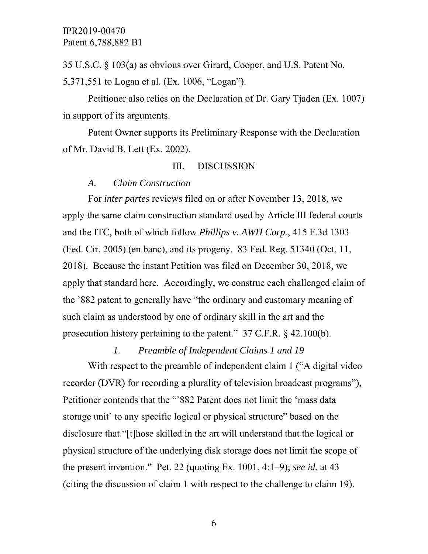35 U.S.C. § 103(a) as obvious over Girard, Cooper, and U.S. Patent No.

5,371,551 to Logan et al. (Ex. 1006, "Logan").

Petitioner also relies on the Declaration of Dr. Gary Tjaden (Ex. 1007) in support of its arguments.

Patent Owner supports its Preliminary Response with the Declaration of Mr. David B. Lett (Ex. 2002).

## III. DISCUSSION

*A. Claim Construction* 

For *inter partes* reviews filed on or after November 13, 2018, we apply the same claim construction standard used by Article III federal courts and the ITC, both of which follow *Phillips v. AWH Corp.*, 415 F.3d 1303 (Fed. Cir. 2005) (en banc), and its progeny. 83 Fed. Reg. 51340 (Oct. 11, 2018). Because the instant Petition was filed on December 30, 2018, we apply that standard here. Accordingly, we construe each challenged claim of the '882 patent to generally have "the ordinary and customary meaning of such claim as understood by one of ordinary skill in the art and the prosecution history pertaining to the patent." 37 C.F.R. § 42.100(b).

# *1. Preamble of Independent Claims 1 and 19*

With respect to the preamble of independent claim 1 ("A digital video") recorder (DVR) for recording a plurality of television broadcast programs"), Petitioner contends that the "'882 Patent does not limit the 'mass data storage unit' to any specific logical or physical structure" based on the disclosure that "[t]hose skilled in the art will understand that the logical or physical structure of the underlying disk storage does not limit the scope of the present invention." Pet. 22 (quoting Ex. 1001, 4:1–9); *see id.* at 43 (citing the discussion of claim 1 with respect to the challenge to claim 19).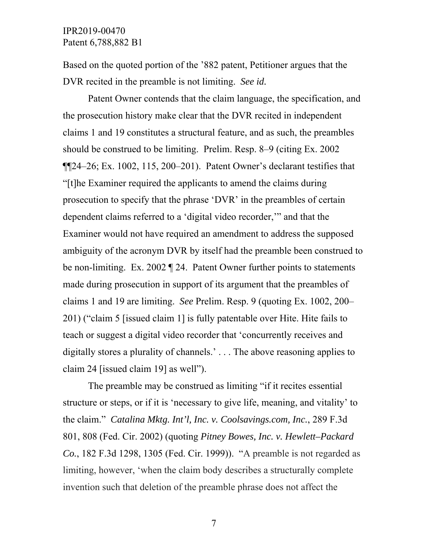Based on the quoted portion of the '882 patent, Petitioner argues that the DVR recited in the preamble is not limiting. *See id.*

Patent Owner contends that the claim language, the specification, and the prosecution history make clear that the DVR recited in independent claims 1 and 19 constitutes a structural feature, and as such, the preambles should be construed to be limiting. Prelim. Resp. 8–9 (citing Ex. 2002  $\P$ [24–26; Ex. 1002, 115, 200–201). Patent Owner's declarant testifies that "[t]he Examiner required the applicants to amend the claims during prosecution to specify that the phrase 'DVR' in the preambles of certain dependent claims referred to a 'digital video recorder,'" and that the Examiner would not have required an amendment to address the supposed ambiguity of the acronym DVR by itself had the preamble been construed to be non-limiting. Ex. 2002 | 24. Patent Owner further points to statements made during prosecution in support of its argument that the preambles of claims 1 and 19 are limiting. *See* Prelim. Resp. 9 (quoting Ex. 1002, 200– 201) ("claim 5 [issued claim 1] is fully patentable over Hite. Hite fails to teach or suggest a digital video recorder that 'concurrently receives and digitally stores a plurality of channels.'... The above reasoning applies to claim 24 [issued claim 19] as well").

The preamble may be construed as limiting "if it recites essential structure or steps, or if it is 'necessary to give life, meaning, and vitality' to the claim." *Catalina Mktg. Int'l, Inc. v. Coolsavings.com, Inc.*, 289 F.3d 801, 808 (Fed. Cir. 2002) (quoting *Pitney Bowes, Inc. v. Hewlett–Packard Co.*, 182 F.3d 1298, 1305 (Fed. Cir. 1999)). "A preamble is not regarded as limiting, however, 'when the claim body describes a structurally complete invention such that deletion of the preamble phrase does not affect the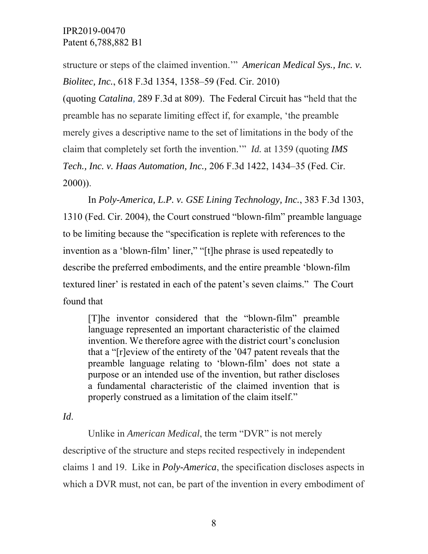structure or steps of the claimed invention.'" *American Medical Sys., Inc. v. Biolitec, Inc.*, 618 F.3d 1354, 1358–59 (Fed. Cir. 2010) (quoting *Catalina,* 289 F.3d at 809). The Federal Circuit has "held that the preamble has no separate limiting effect if, for example, 'the preamble merely gives a descriptive name to the set of limitations in the body of the claim that completely set forth the invention.'" *Id.* at 1359 (quoting *IMS Tech., Inc. v. Haas Automation, Inc.,* 206 F.3d 1422, 1434–35 (Fed. Cir. 2000)).

In *Poly-America, L.P. v. GSE Lining Technology, Inc.*, 383 F.3d 1303, 1310 (Fed. Cir. 2004), the Court construed "blown-film" preamble language to be limiting because the "specification is replete with references to the invention as a 'blown-film' liner," "[t]he phrase is used repeatedly to describe the preferred embodiments, and the entire preamble 'blown-film textured liner' is restated in each of the patent's seven claims." The Court found that

[T]he inventor considered that the "blown-film" preamble language represented an important characteristic of the claimed invention. We therefore agree with the district court's conclusion that a "[r]eview of the entirety of the '047 patent reveals that the preamble language relating to 'blown-film' does not state a purpose or an intended use of the invention, but rather discloses a fundamental characteristic of the claimed invention that is properly construed as a limitation of the claim itself."

*Id*.

Unlike in *American Medical*, the term "DVR" is not merely descriptive of the structure and steps recited respectively in independent claims 1 and 19. Like in *Poly-America*, the specification discloses aspects in which a DVR must, not can, be part of the invention in every embodiment of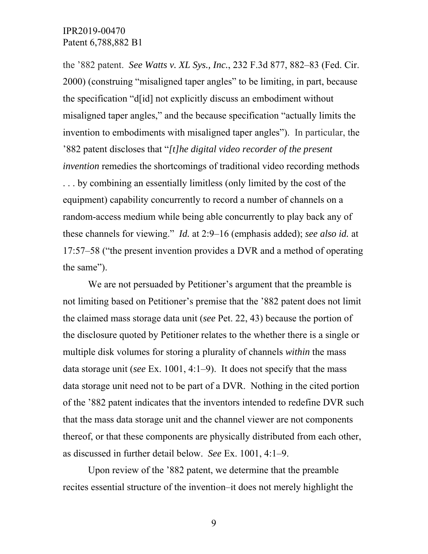the '882 patent. *See Watts v. XL Sys., Inc.*, 232 F.3d 877, 882–83 (Fed. Cir. 2000) (construing "misaligned taper angles" to be limiting, in part, because the specification "d[id] not explicitly discuss an embodiment without misaligned taper angles," and the because specification "actually limits the invention to embodiments with misaligned taper angles"). In particular, the '882 patent discloses that "*[t]he digital video recorder of the present invention* remedies the shortcomings of traditional video recording methods

. . . by combining an essentially limitless (only limited by the cost of the equipment) capability concurrently to record a number of channels on a random-access medium while being able concurrently to play back any of these channels for viewing." *Id.* at 2:9–16 (emphasis added); *see also id.* at 17:57–58 ("the present invention provides a DVR and a method of operating the same").

We are not persuaded by Petitioner's argument that the preamble is not limiting based on Petitioner's premise that the '882 patent does not limit the claimed mass storage data unit (*see* Pet. 22, 43) because the portion of the disclosure quoted by Petitioner relates to the whether there is a single or multiple disk volumes for storing a plurality of channels *within* the mass data storage unit (*see* Ex. 1001, 4:1–9). It does not specify that the mass data storage unit need not to be part of a DVR. Nothing in the cited portion of the '882 patent indicates that the inventors intended to redefine DVR such that the mass data storage unit and the channel viewer are not components thereof, or that these components are physically distributed from each other, as discussed in further detail below. *See* Ex. 1001, 4:1–9.

Upon review of the '882 patent, we determine that the preamble recites essential structure of the invention–it does not merely highlight the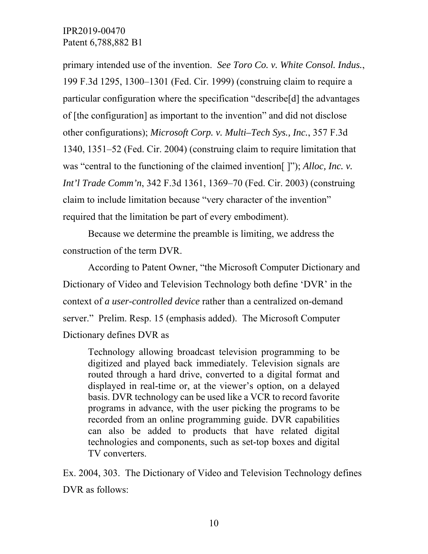primary intended use of the invention. *See Toro Co. v. White Consol. Indus.*, 199 F.3d 1295, 1300–1301 (Fed. Cir. 1999) (construing claim to require a particular configuration where the specification "describe[d] the advantages of [the configuration] as important to the invention" and did not disclose other configurations); *Microsoft Corp. v. Multi–Tech Sys., Inc.*, 357 F.3d 1340, 1351–52 (Fed. Cir. 2004) (construing claim to require limitation that was "central to the functioning of the claimed invention[ ]"); *Alloc, Inc. v. Int'l Trade Comm'n*, 342 F.3d 1361, 1369–70 (Fed. Cir. 2003) (construing claim to include limitation because "very character of the invention" required that the limitation be part of every embodiment).

Because we determine the preamble is limiting, we address the construction of the term DVR.

According to Patent Owner, "the Microsoft Computer Dictionary and Dictionary of Video and Television Technology both define 'DVR' in the context of *a user-controlled device* rather than a centralized on-demand server." Prelim. Resp. 15 (emphasis added). The Microsoft Computer Dictionary defines DVR as

Technology allowing broadcast television programming to be digitized and played back immediately. Television signals are routed through a hard drive, converted to a digital format and displayed in real-time or, at the viewer's option, on a delayed basis. DVR technology can be used like a VCR to record favorite programs in advance, with the user picking the programs to be recorded from an online programming guide. DVR capabilities can also be added to products that have related digital technologies and components, such as set-top boxes and digital TV converters.

Ex. 2004, 303. The Dictionary of Video and Television Technology defines DVR as follows: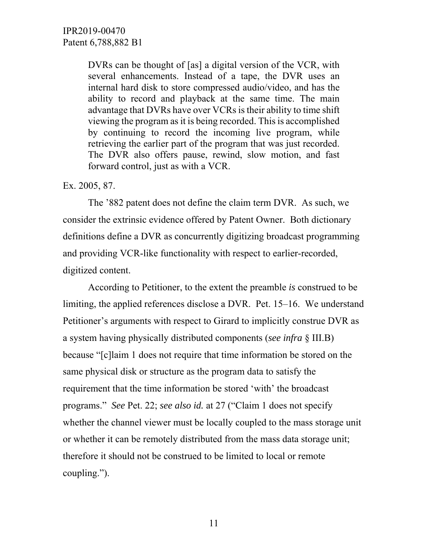DVRs can be thought of [as] a digital version of the VCR, with several enhancements. Instead of a tape, the DVR uses an internal hard disk to store compressed audio/video, and has the ability to record and playback at the same time. The main advantage that DVRs have over VCRs is their ability to time shift viewing the program as it is being recorded. This is accomplished by continuing to record the incoming live program, while retrieving the earlier part of the program that was just recorded. The DVR also offers pause, rewind, slow motion, and fast forward control, just as with a VCR.

#### Ex. 2005, 87.

 The '882 patent does not define the claim term DVR. As such, we consider the extrinsic evidence offered by Patent Owner. Both dictionary definitions define a DVR as concurrently digitizing broadcast programming and providing VCR-like functionality with respect to earlier-recorded, digitized content.

According to Petitioner, to the extent the preamble *is* construed to be limiting, the applied references disclose a DVR. Pet. 15–16. We understand Petitioner's arguments with respect to Girard to implicitly construe DVR as a system having physically distributed components (*see infra* § III.B) because "[c]laim 1 does not require that time information be stored on the same physical disk or structure as the program data to satisfy the requirement that the time information be stored 'with' the broadcast programs." *See* Pet. 22; *see also id.* at 27 ("Claim 1 does not specify whether the channel viewer must be locally coupled to the mass storage unit or whether it can be remotely distributed from the mass data storage unit; therefore it should not be construed to be limited to local or remote coupling.").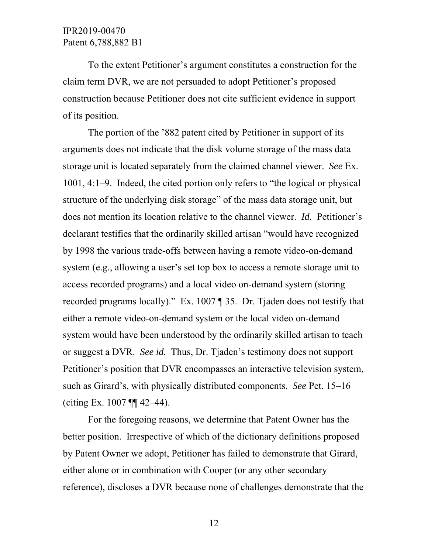To the extent Petitioner's argument constitutes a construction for the claim term DVR, we are not persuaded to adopt Petitioner's proposed construction because Petitioner does not cite sufficient evidence in support of its position.

The portion of the '882 patent cited by Petitioner in support of its arguments does not indicate that the disk volume storage of the mass data storage unit is located separately from the claimed channel viewer. *See* Ex. 1001, 4:1–9. Indeed, the cited portion only refers to "the logical or physical structure of the underlying disk storage" of the mass data storage unit, but does not mention its location relative to the channel viewer. *Id.* Petitioner's declarant testifies that the ordinarily skilled artisan "would have recognized by 1998 the various trade-offs between having a remote video-on-demand system (e.g., allowing a user's set top box to access a remote storage unit to access recorded programs) and a local video on-demand system (storing recorded programs locally)." Ex. 1007 ¶ 35. Dr. Tjaden does not testify that either a remote video-on-demand system or the local video on-demand system would have been understood by the ordinarily skilled artisan to teach or suggest a DVR. *See id.* Thus, Dr. Tjaden's testimony does not support Petitioner's position that DVR encompasses an interactive television system, such as Girard's, with physically distributed components. *See* Pet. 15–16 (citing Ex. 1007 ¶¶ 42–44).

For the foregoing reasons, we determine that Patent Owner has the better position. Irrespective of which of the dictionary definitions proposed by Patent Owner we adopt, Petitioner has failed to demonstrate that Girard, either alone or in combination with Cooper (or any other secondary reference), discloses a DVR because none of challenges demonstrate that the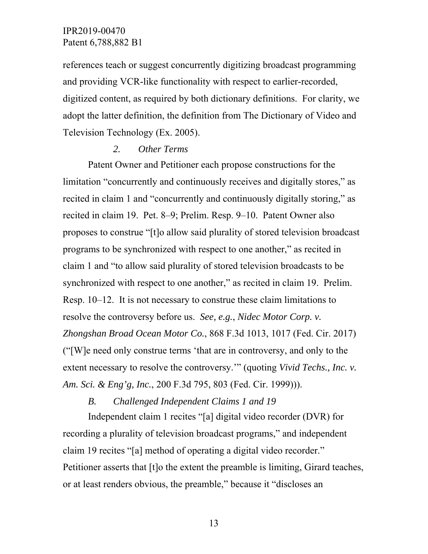references teach or suggest concurrently digitizing broadcast programming and providing VCR-like functionality with respect to earlier-recorded, digitized content, as required by both dictionary definitions. For clarity, we adopt the latter definition, the definition from The Dictionary of Video and Television Technology (Ex. 2005).

#### *2. Other Terms*

Patent Owner and Petitioner each propose constructions for the limitation "concurrently and continuously receives and digitally stores," as recited in claim 1 and "concurrently and continuously digitally storing," as recited in claim 19. Pet. 8–9; Prelim. Resp. 9–10. Patent Owner also proposes to construe "[t]o allow said plurality of stored television broadcast programs to be synchronized with respect to one another," as recited in claim 1 and "to allow said plurality of stored television broadcasts to be synchronized with respect to one another," as recited in claim 19. Prelim. Resp. 10–12. It is not necessary to construe these claim limitations to resolve the controversy before us. *See, e.g.*, *Nidec Motor Corp. v. Zhongshan Broad Ocean Motor Co.*, 868 F.3d 1013, 1017 (Fed. Cir. 2017) ("[W]e need only construe terms 'that are in controversy, and only to the extent necessary to resolve the controversy.'" (quoting *Vivid Techs., Inc. v. Am. Sci. & Eng'g, Inc.*, 200 F.3d 795, 803 (Fed. Cir. 1999))).

*B. Challenged Independent Claims 1 and 19* 

Independent claim 1 recites "[a] digital video recorder (DVR) for recording a plurality of television broadcast programs," and independent claim 19 recites "[a] method of operating a digital video recorder." Petitioner asserts that [t]o the extent the preamble is limiting, Girard teaches, or at least renders obvious, the preamble," because it "discloses an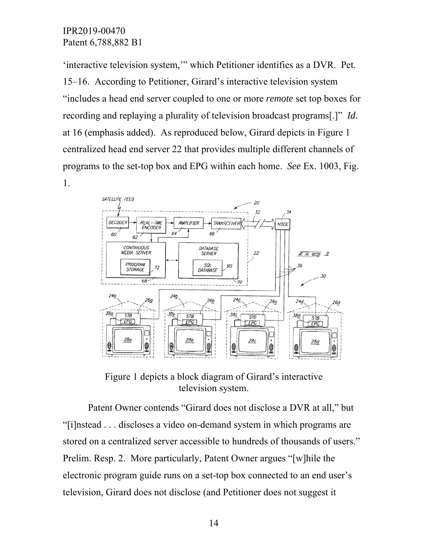1.

'interactive television system,'" which Petitioner identifies as a DVR. Pet. 15–16. According to Petitioner, Girard's interactive television system "includes a head end server coupled to one or more *remote* set top boxes for recording and replaying a plurality of television broadcast programs[.]" *Id.*  at 16 (emphasis added). As reproduced below, Girard depicts in Figure 1 centralized head end server 22 that provides multiple different channels of programs to the set-top box and EPG within each home. *See* Ex. 1003, Fig.



Figure 1 depicts a block diagram of Girard's interactive television system.

Patent Owner contends "Girard does not disclose a DVR at all," but "[i]nstead . . . discloses a video on-demand system in which programs are stored on a centralized server accessible to hundreds of thousands of users." Prelim. Resp. 2. More particularly, Patent Owner argues "[w]hile the electronic program guide runs on a set-top box connected to an end user's television, Girard does not disclose (and Petitioner does not suggest it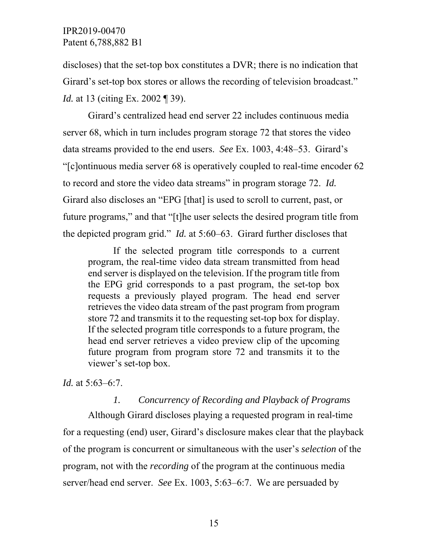discloses) that the set-top box constitutes a DVR; there is no indication that Girard's set-top box stores or allows the recording of television broadcast." *Id.* at 13 (citing Ex. 2002 ¶ 39).

Girard's centralized head end server 22 includes continuous media server 68, which in turn includes program storage 72 that stores the video data streams provided to the end users. *See* Ex. 1003, 4:48–53. Girard's "[c]ontinuous media server 68 is operatively coupled to real-time encoder 62 to record and store the video data streams" in program storage 72. *Id.* Girard also discloses an "EPG [that] is used to scroll to current, past, or future programs," and that "[t]he user selects the desired program title from the depicted program grid." *Id.* at 5:60–63. Girard further discloses that

If the selected program title corresponds to a current program, the real-time video data stream transmitted from head end server is displayed on the television. If the program title from the EPG grid corresponds to a past program, the set-top box requests a previously played program. The head end server retrieves the video data stream of the past program from program store 72 and transmits it to the requesting set-top box for display. If the selected program title corresponds to a future program, the head end server retrieves a video preview clip of the upcoming future program from program store 72 and transmits it to the viewer's set-top box.

*Id.* at 5:63–6:7.

### *1. Concurrency of Recording and Playback of Programs*

 Although Girard discloses playing a requested program in real-time for a requesting (end) user, Girard's disclosure makes clear that the playback of the program is concurrent or simultaneous with the user's *selection* of the program, not with the *recording* of the program at the continuous media server/head end server. *See* Ex. 1003, 5:63–6:7. We are persuaded by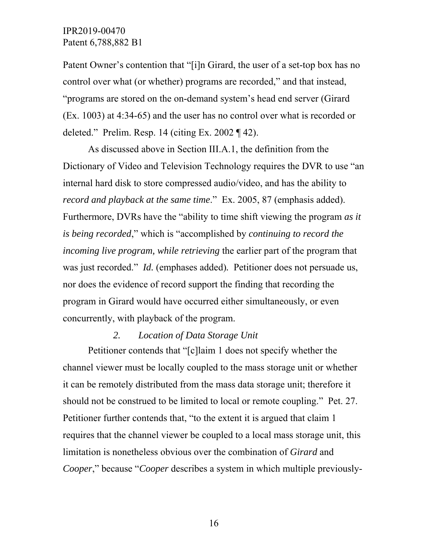Patent Owner's contention that "[i]n Girard, the user of a set-top box has no control over what (or whether) programs are recorded," and that instead, "programs are stored on the on-demand system's head end server (Girard (Ex. 1003) at 4:34-65) and the user has no control over what is recorded or deleted." Prelim. Resp. 14 (citing Ex. 2002  $\P$  42).

As discussed above in Section III.A.1, the definition from the Dictionary of Video and Television Technology requires the DVR to use "an internal hard disk to store compressed audio/video, and has the ability to *record and playback at the same time*." Ex. 2005, 87 (emphasis added). Furthermore, DVRs have the "ability to time shift viewing the program *as it is being recorded*," which is "accomplished by *continuing to record the incoming live program, while retrieving* the earlier part of the program that was just recorded." *Id.* (emphases added)*.* Petitioner does not persuade us, nor does the evidence of record support the finding that recording the program in Girard would have occurred either simultaneously, or even concurrently, with playback of the program.

#### *2. Location of Data Storage Unit*

Petitioner contends that "[c]laim 1 does not specify whether the channel viewer must be locally coupled to the mass storage unit or whether it can be remotely distributed from the mass data storage unit; therefore it should not be construed to be limited to local or remote coupling." Pet. 27. Petitioner further contends that, "to the extent it is argued that claim 1 requires that the channel viewer be coupled to a local mass storage unit, this limitation is nonetheless obvious over the combination of *Girard* and *Cooper*," because "*Cooper* describes a system in which multiple previously-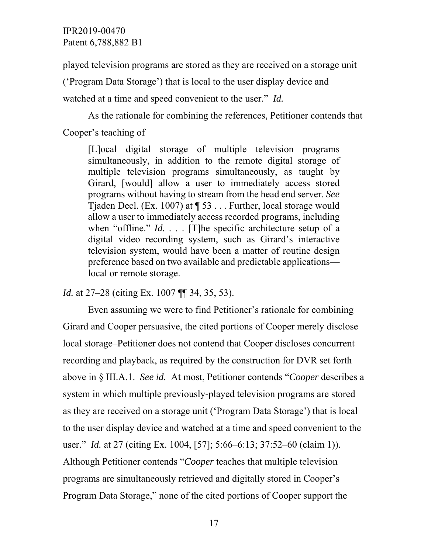played television programs are stored as they are received on a storage unit

('Program Data Storage') that is local to the user display device and

watched at a time and speed convenient to the user." *Id.* 

As the rationale for combining the references, Petitioner contends that Cooper's teaching of

[L]ocal digital storage of multiple television programs simultaneously, in addition to the remote digital storage of multiple television programs simultaneously, as taught by Girard, [would] allow a user to immediately access stored programs without having to stream from the head end server. *See*  Tjaden Decl. (Ex. 1007) at ¶ 53 . . . Further, local storage would allow a user to immediately access recorded programs, including when "offline." *Id.* . . . [T]he specific architecture setup of a digital video recording system, such as Girard's interactive television system, would have been a matter of routine design preference based on two available and predictable applications local or remote storage.

*Id.* at 27–28 (citing Ex. 1007 ¶¶ 34, 35, 53).

Even assuming we were to find Petitioner's rationale for combining Girard and Cooper persuasive, the cited portions of Cooper merely disclose local storage–Petitioner does not contend that Cooper discloses concurrent recording and playback, as required by the construction for DVR set forth above in § III.A.1. *See id.* At most, Petitioner contends "*Cooper* describes a system in which multiple previously-played television programs are stored as they are received on a storage unit ('Program Data Storage') that is local to the user display device and watched at a time and speed convenient to the user." *Id.* at 27 (citing Ex. 1004, [57]; 5:66–6:13; 37:52–60 (claim 1)). Although Petitioner contends "*Cooper* teaches that multiple television programs are simultaneously retrieved and digitally stored in Cooper's Program Data Storage," none of the cited portions of Cooper support the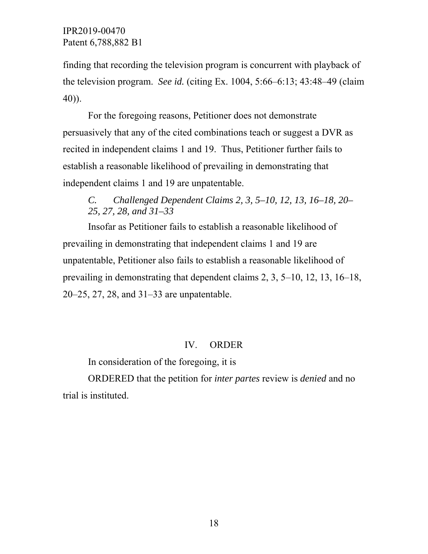finding that recording the television program is concurrent with playback of the television program. *See id.* (citing Ex. 1004, 5:66–6:13; 43:48–49 (claim 40)).

For the foregoing reasons, Petitioner does not demonstrate persuasively that any of the cited combinations teach or suggest a DVR as recited in independent claims 1 and 19. Thus, Petitioner further fails to establish a reasonable likelihood of prevailing in demonstrating that independent claims 1 and 19 are unpatentable.

# *C. Challenged Dependent Claims 2, 3, 5–10, 12, 13, 16–18, 20– 25, 27, 28, and 31–33*

Insofar as Petitioner fails to establish a reasonable likelihood of prevailing in demonstrating that independent claims 1 and 19 are unpatentable, Petitioner also fails to establish a reasonable likelihood of prevailing in demonstrating that dependent claims 2, 3, 5–10, 12, 13, 16–18, 20–25, 27, 28, and 31–33 are unpatentable.

### IV. ORDER

In consideration of the foregoing, it is

ORDERED that the petition for *inter partes* review is *denied* and no trial is instituted.